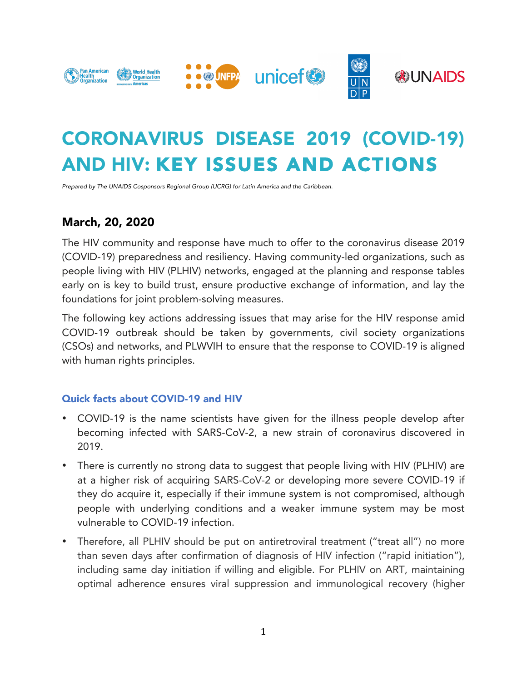

# CORONAVIRUS DISEASE 2019 (COVID-19) AND HIV: KEY ISSUES AND ACTIONS

*Prepared by The UNAIDS Cosponsors Regional Group (UCRG) for Latin America and the Caribbean.*

## March, 20, 2020

The HIV community and response have much to offer to the coronavirus disease 2019 (COVID-19) preparedness and resiliency. Having community-led organizations, such as people living with HIV (PLHIV) networks, engaged at the planning and response tables early on is key to build trust, ensure productive exchange of information, and lay the foundations for joint problem-solving measures.

The following key actions addressing issues that may arise for the HIV response amid COVID-19 outbreak should be taken by governments, civil society organizations (CSOs) and networks, and PLWVIH to ensure that the response to COVID-19 is aligned with human rights principles.

#### Quick facts about COVID-19 and HIV

- COVID-19 is the name scientists have given for the illness people develop after becoming infected with SARS-CoV-2, a new strain of coronavirus discovered in 2019.
- There is currently no strong data to suggest that people living with HIV (PLHIV) are at a higher risk of acquiring SARS-CoV-2 or developing more severe COVID-19 if they do acquire it, especially if their immune system is not compromised, although people with underlying conditions and a weaker immune system may be most vulnerable to COVID-19 infection.
- Therefore, all PLHIV should be put on antiretroviral treatment ("treat all") no more than seven days after confirmation of diagnosis of HIV infection ("rapid initiation"), including same day initiation if willing and eligible. For PLHIV on ART, maintaining optimal adherence ensures viral suppression and immunological recovery (higher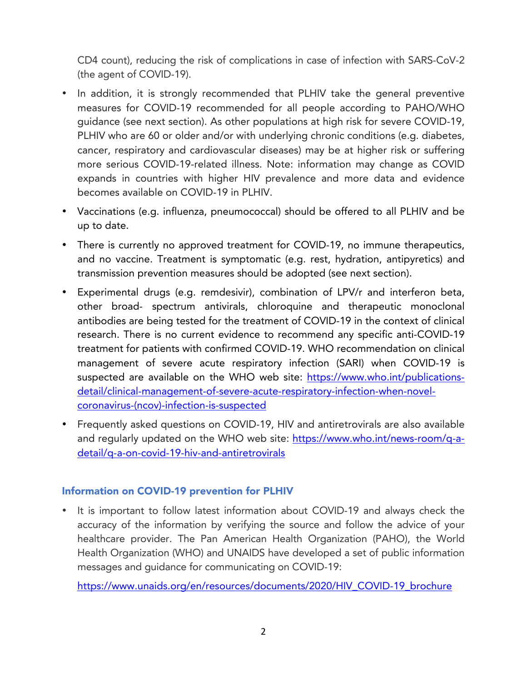CD4 count), reducing the risk of complications in case of infection with SARS-CoV-2 (the agent of COVID-19).

- In addition, it is strongly recommended that PLHIV take the general preventive measures for COVID-19 recommended for all people according to PAHO/WHO guidance (see next section). As other populations at high risk for severe COVID-19, PLHIV who are 60 or older and/or with underlying chronic conditions (e.g. diabetes, cancer, respiratory and cardiovascular diseases) may be at higher risk or suffering more serious COVID-19-related illness. Note: information may change as COVID expands in countries with higher HIV prevalence and more data and evidence becomes available on COVID-19 in PLHIV.
- Vaccinations (e.g. influenza, pneumococcal) should be offered to all PLHIV and be up to date.
- There is currently no approved treatment for COVID-19, no immune therapeutics, and no vaccine. Treatment is symptomatic (e.g. rest, hydration, antipyretics) and transmission prevention measures should be adopted (see next section).
- Experimental drugs (e.g. remdesivir), combination of LPV/r and interferon beta, other broad- spectrum antivirals, chloroquine and therapeutic monoclonal antibodies are being tested for the treatment of COVID-19 in the context of clinical research. There is no current evidence to recommend any specific anti-COVID-19 treatment for patients with confirmed COVID-19. WHO recommendation on clinical management of severe acute respiratory infection (SARI) when COVID-19 is suspected are available on the WHO web site: https://www.who.int/publicationsdetail/clinical-management-of-severe-acute-respiratory-infection-when-novelcoronavirus-(ncov)-infection-is-suspected
- Frequently asked questions on COVID-19, HIV and antiretrovirals are also available and regularly updated on the WHO web site: https://www.who.int/news-room/q-adetail/q-a-on-covid-19-hiv-and-antiretrovirals

#### Information on COVID-19 prevention for PLHIV

• It is important to follow latest information about COVID-19 and always check the accuracy of the information by verifying the source and follow the advice of your healthcare provider. The Pan American Health Organization (PAHO), the World Health Organization (WHO) and UNAIDS have developed a set of public information messages and guidance for communicating on COVID-19:

https://www.unaids.org/en/resources/documents/2020/HIV\_COVID-19\_brochure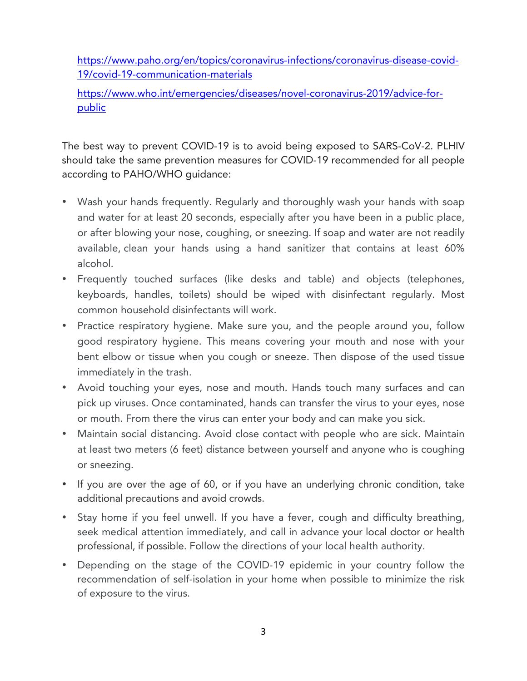https://www.paho.org/en/topics/coronavirus-infections/coronavirus-disease-covid-19/covid-19-communication-materials

https://www.who.int/emergencies/diseases/novel-coronavirus-2019/advice-forpublic

The best way to prevent COVID-19 is to avoid being exposed to SARS-CoV-2. PLHIV should take the same prevention measures for COVID-19 recommended for all people according to PAHO/WHO guidance:

- Wash your hands frequently. Regularly and thoroughly wash your hands with soap and water for at least 20 seconds, especially after you have been in a public place, or after blowing your nose, coughing, or sneezing. If soap and water are not readily available, clean your hands using a hand sanitizer that contains at least 60% alcohol.
- Frequently touched surfaces (like desks and table) and objects (telephones, keyboards, handles, toilets) should be wiped with disinfectant regularly. Most common household disinfectants will work.
- Practice respiratory hygiene. Make sure you, and the people around you, follow good respiratory hygiene. This means covering your mouth and nose with your bent elbow or tissue when you cough or sneeze. Then dispose of the used tissue immediately in the trash.
- Avoid touching your eyes, nose and mouth. Hands touch many surfaces and can pick up viruses. Once contaminated, hands can transfer the virus to your eyes, nose or mouth. From there the virus can enter your body and can make you sick.
- Maintain social distancing. Avoid close contact with people who are sick. Maintain at least two meters (6 feet) distance between yourself and anyone who is coughing or sneezing.
- If you are over the age of 60, or if you have an underlying chronic condition, take additional precautions and avoid crowds.
- Stay home if you feel unwell. If you have a fever, cough and difficulty breathing, seek medical attention immediately, and call in advance your local doctor or health professional, if possible. Follow the directions of your local health authority.
- Depending on the stage of the COVID-19 epidemic in your country follow the recommendation of self-isolation in your home when possible to minimize the risk of exposure to the virus.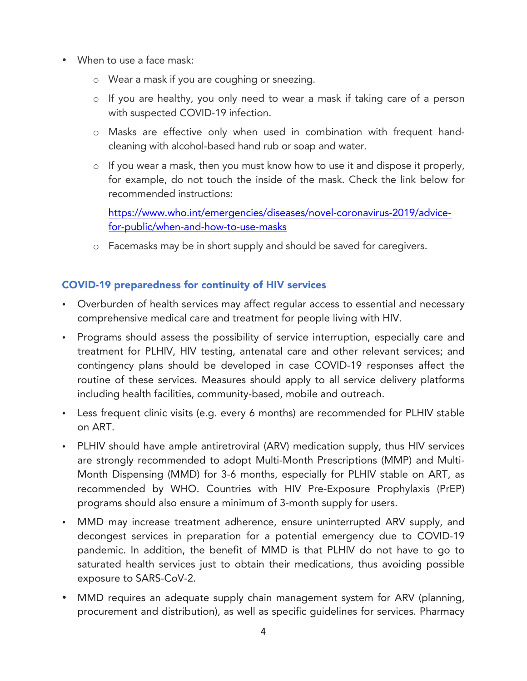- When to use a face mask:
	- o Wear a mask if you are coughing or sneezing.
	- o If you are healthy, you only need to wear a mask if taking care of a person with suspected COVID-19 infection.
	- o Masks are effective only when used in combination with frequent handcleaning with alcohol-based hand rub or soap and water.
	- o If you wear a mask, then you must know how to use it and dispose it properly, for example, do not touch the inside of the mask. Check the link below for recommended instructions:

https://www.who.int/emergencies/diseases/novel-coronavirus-2019/advicefor-public/when-and-how-to-use-masks

o Facemasks may be in short supply and should be saved for caregivers.

## COVID-19 preparedness for continuity of HIV services

- Overburden of health services may affect regular access to essential and necessary comprehensive medical care and treatment for people living with HIV.
- Programs should assess the possibility of service interruption, especially care and treatment for PLHIV, HIV testing, antenatal care and other relevant services; and contingency plans should be developed in case COVID-19 responses affect the routine of these services. Measures should apply to all service delivery platforms including health facilities, community-based, mobile and outreach.
- Less frequent clinic visits (e.g. every 6 months) are recommended for PLHIV stable on ART.
- PLHIV should have ample antiretroviral (ARV) medication supply, thus HIV services are strongly recommended to adopt Multi-Month Prescriptions (MMP) and Multi-Month Dispensing (MMD) for 3-6 months, especially for PLHIV stable on ART, as recommended by WHO. Countries with HIV Pre-Exposure Prophylaxis (PrEP) programs should also ensure a minimum of 3-month supply for users.
- MMD may increase treatment adherence, ensure uninterrupted ARV supply, and decongest services in preparation for a potential emergency due to COVID-19 pandemic. In addition, the benefit of MMD is that PLHIV do not have to go to saturated health services just to obtain their medications, thus avoiding possible exposure to SARS-CoV-2.
- MMD requires an adequate supply chain management system for ARV (planning, procurement and distribution), as well as specific guidelines for services. Pharmacy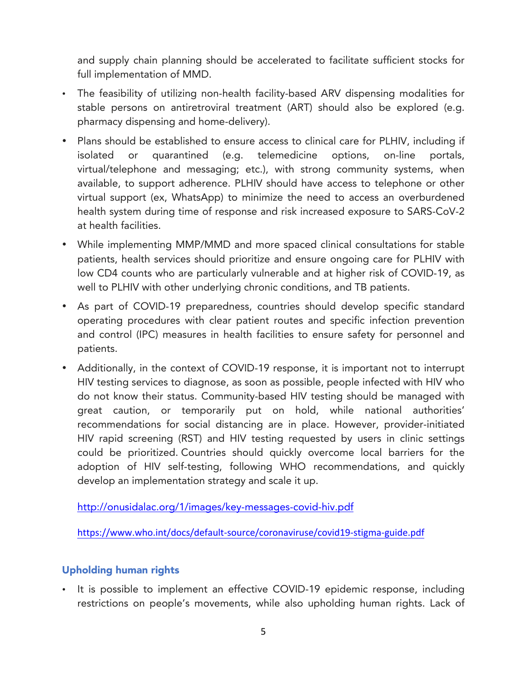and supply chain planning should be accelerated to facilitate sufficient stocks for full implementation of MMD.

- The feasibility of utilizing non-health facility-based ARV dispensing modalities for stable persons on antiretroviral treatment (ART) should also be explored (e.g. pharmacy dispensing and home-delivery).
- Plans should be established to ensure access to clinical care for PLHIV, including if isolated or quarantined (e.g. telemedicine options, on-line portals, virtual/telephone and messaging; etc.), with strong community systems, when available, to support adherence. PLHIV should have access to telephone or other virtual support (ex, WhatsApp) to minimize the need to access an overburdened health system during time of response and risk increased exposure to SARS-CoV-2 at health facilities.
- While implementing MMP/MMD and more spaced clinical consultations for stable patients, health services should prioritize and ensure ongoing care for PLHIV with low CD4 counts who are particularly vulnerable and at higher risk of COVID-19, as well to PLHIV with other underlying chronic conditions, and TB patients.
- As part of COVID-19 preparedness, countries should develop specific standard operating procedures with clear patient routes and specific infection prevention and control (IPC) measures in health facilities to ensure safety for personnel and patients.
- Additionally, in the context of COVID-19 response, it is important not to interrupt HIV testing services to diagnose, as soon as possible, people infected with HIV who do not know their status. Community-based HIV testing should be managed with great caution, or temporarily put on hold, while national authorities' recommendations for social distancing are in place. However, provider-initiated HIV rapid screening (RST) and HIV testing requested by users in clinic settings could be prioritized. Countries should quickly overcome local barriers for the adoption of HIV self-testing, following WHO recommendations, and quickly develop an implementation strategy and scale it up.

http://onusidalac.org/1/images/key-messages-covid-hiv.pdf

https://www.who.int/docs/default-source/coronaviruse/covid19-stigma-guide.pdf

## Upholding human rights

• It is possible to implement an effective COVID-19 epidemic response, including restrictions on people's movements, while also upholding human rights. Lack of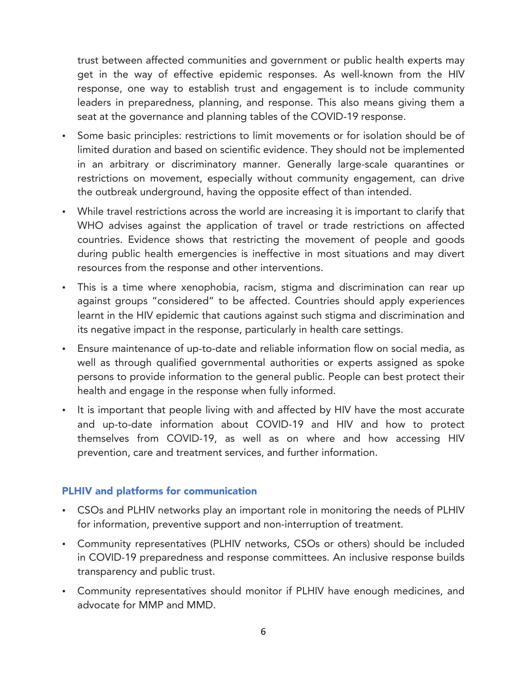trust between affected communities and government or public health experts may get in the way of effective epidemic responses. As well-known from the HIV response, one way to establish trust and engagement is to include community leaders in preparedness, planning, and response. This also means giving them a seat at the governance and planning tables of the COVID-19 response.

- Some basic principles: restrictions to limit movements or for isolation should be of limited duration and based on scientific evidence. They should not be implemented in an arbitrary or discriminatory manner. Generally large-scale quarantines or restrictions on movement, especially without community engagement, can drive the outbreak underground, having the opposite effect of than intended.
- While travel restrictions across the world are increasing it is important to clarify that WHO advises against the application of travel or trade restrictions on affected countries. Evidence shows that restricting the movement of people and goods during public health emergencies is ineffective in most situations and may divert resources from the response and other interventions.
- This is a time where xenophobia, racism, stigma and discrimination can rear up against groups "considered" to be affected. Countries should apply experiences learnt in the HIV epidemic that cautions against such stigma and discrimination and its negative impact in the response, particularly in health care settings.
- Ensure maintenance of up-to-date and reliable information flow on social media, as well as through qualified governmental authorities or experts assigned as spoke persons to provide information to the general public. People can best protect their health and engage in the response when fully informed.
- It is important that people living with and affected by HIV have the most accurate and up-to-date information about COVID-19 and HIV and how to protect themselves from COVID-19, as well as on where and how accessing HIV prevention, care and treatment services, and further information.

#### PLHIV and platforms for communication

- CSOs and PLHIV networks play an important role in monitoring the needs of PLHIV for information, preventive support and non-interruption of treatment.
- Community representatives (PLHIV networks, CSOs or others) should be included in COVID-19 preparedness and response committees. An inclusive response builds transparency and public trust.
- Community representatives should monitor if PLHIV have enough medicines, and advocate for MMP and MMD.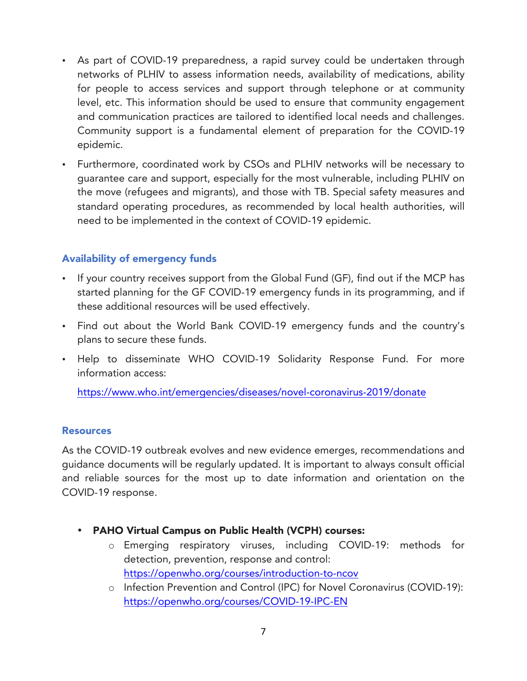- As part of COVID-19 preparedness, a rapid survey could be undertaken through networks of PLHIV to assess information needs, availability of medications, ability for people to access services and support through telephone or at community level, etc. This information should be used to ensure that community engagement and communication practices are tailored to identified local needs and challenges. Community support is a fundamental element of preparation for the COVID-19 epidemic.
- Furthermore, coordinated work by CSOs and PLHIV networks will be necessary to guarantee care and support, especially for the most vulnerable, including PLHIV on the move (refugees and migrants), and those with TB. Special safety measures and standard operating procedures, as recommended by local health authorities, will need to be implemented in the context of COVID-19 epidemic.

## Availability of emergency funds

- If your country receives support from the Global Fund (GF), find out if the MCP has started planning for the GF COVID-19 emergency funds in its programming, and if these additional resources will be used effectively.
- Find out about the World Bank COVID-19 emergency funds and the country's plans to secure these funds.
- Help to disseminate WHO COVID-19 Solidarity Response Fund. For more information access:

https://www.who.int/emergencies/diseases/novel-coronavirus-2019/donate

#### **Resources**

As the COVID-19 outbreak evolves and new evidence emerges, recommendations and guidance documents will be regularly updated. It is important to always consult official and reliable sources for the most up to date information and orientation on the COVID-19 response.

- PAHO Virtual Campus on Public Health (VCPH) courses:
	- o Emerging respiratory viruses, including COVID-19: methods for detection, prevention, response and control: https://openwho.org/courses/introduction-to-ncov
	- o Infection Prevention and Control (IPC) for Novel Coronavirus (COVID-19): https://openwho.org/courses/COVID-19-IPC-EN